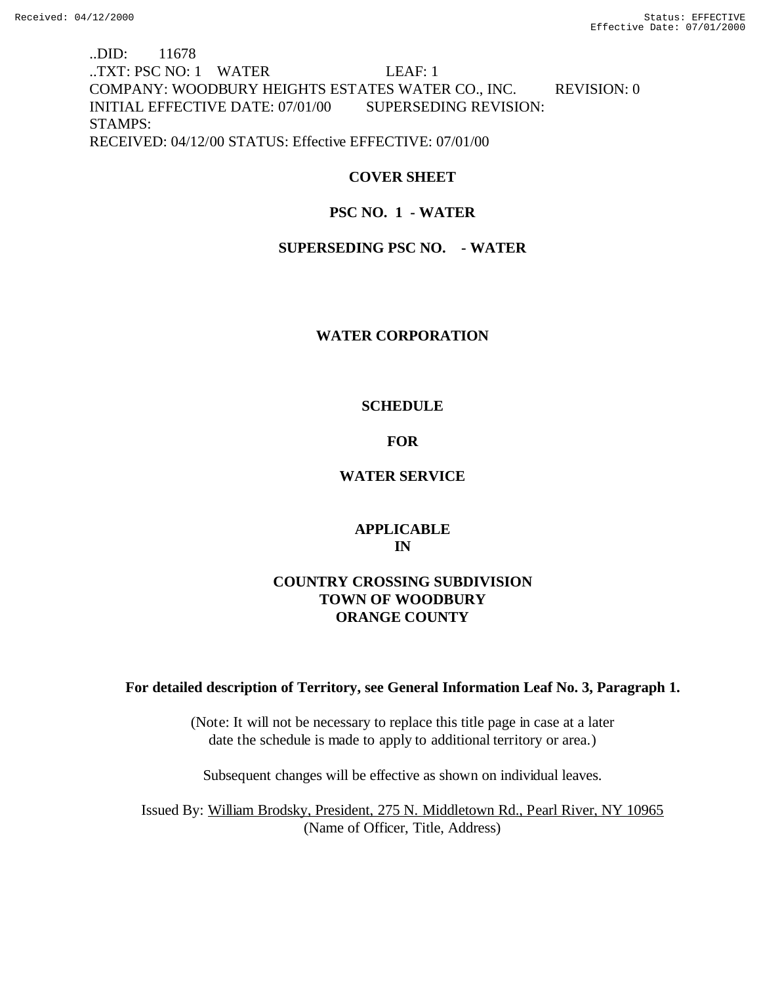# ..DID: 11678 ..TXT: PSC NO: 1 WATER LEAF: 1 COMPANY: WOODBURY HEIGHTS ESTATES WATER CO., INC. REVISION: 0 INITIAL EFFECTIVE DATE: 07/01/00 SUPERSEDING REVISION: STAMPS: RECEIVED: 04/12/00 STATUS: Effective EFFECTIVE: 07/01/00

# **COVER SHEET**

# **PSC NO. 1 - WATER**

# **SUPERSEDING PSC NO. - WATER**

# **WATER CORPORATION**

# **SCHEDULE**

# **FOR**

# **WATER SERVICE**

# **APPLICABLE IN**

# **COUNTRY CROSSING SUBDIVISION TOWN OF WOODBURY ORANGE COUNTY**

# **For detailed description of Territory, see General Information Leaf No. 3, Paragraph 1.**

(Note: It will not be necessary to replace this title page in case at a later date the schedule is made to apply to additional territory or area.)

Subsequent changes will be effective as shown on individual leaves.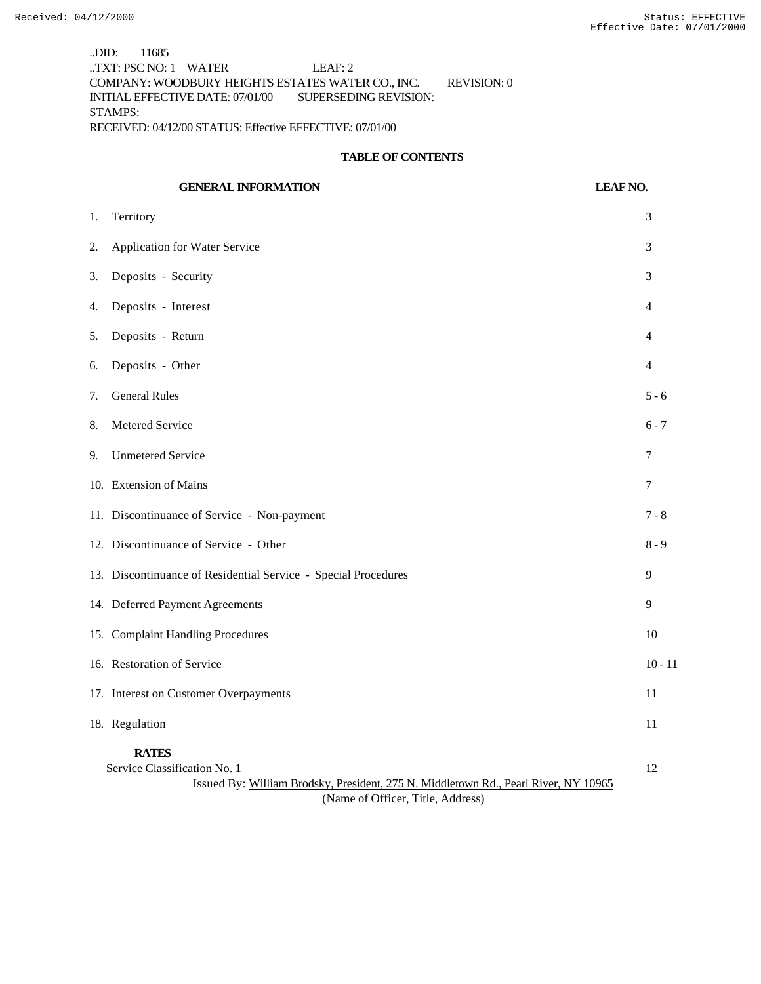..DID: 11685 ..TXT: PSC NO: 1 WATER LEAF: 2 COMPANY: WOODBURY HEIGHTS ESTATES WATER CO., INC. REVISION: 0 INITIAL EFFECTIVE DATE: 07/01/00 SUPERSEDING REVISION: STAMPS: RECEIVED: 04/12/00 STATUS: Effective EFFECTIVE: 07/01/00

## **TABLE OF CONTENTS**

|    | <b>GENERAL INFORMATION</b>                                                                                                          | <b>LEAF NO.</b> |
|----|-------------------------------------------------------------------------------------------------------------------------------------|-----------------|
| 1. | Territory                                                                                                                           | 3               |
| 2. | <b>Application for Water Service</b>                                                                                                | 3               |
| 3. | Deposits - Security                                                                                                                 | 3               |
| 4. | Deposits - Interest                                                                                                                 | 4               |
| 5. | Deposits - Return                                                                                                                   | 4               |
| 6. | Deposits - Other                                                                                                                    | 4               |
| 7. | <b>General Rules</b>                                                                                                                | $5 - 6$         |
| 8. | Metered Service                                                                                                                     | $6 - 7$         |
| 9. | <b>Unmetered Service</b>                                                                                                            | 7               |
|    | 10. Extension of Mains                                                                                                              | $\tau$          |
|    | 11. Discontinuance of Service - Non-payment                                                                                         | $7 - 8$         |
|    | 12. Discontinuance of Service - Other                                                                                               | $8 - 9$         |
|    | 13. Discontinuance of Residential Service - Special Procedures                                                                      | 9               |
|    | 14. Deferred Payment Agreements                                                                                                     | 9               |
|    | 15. Complaint Handling Procedures                                                                                                   | 10              |
|    | 16. Restoration of Service                                                                                                          | $10 - 11$       |
|    | 17. Interest on Customer Overpayments                                                                                               | 11              |
|    | 18. Regulation                                                                                                                      | 11              |
|    | <b>RATES</b><br>Service Classification No. 1<br>Issued By: William Brodsky, President, 275 N. Middletown Rd., Pearl River, NY 10965 | 12              |

(Name of Officer, Title, Address)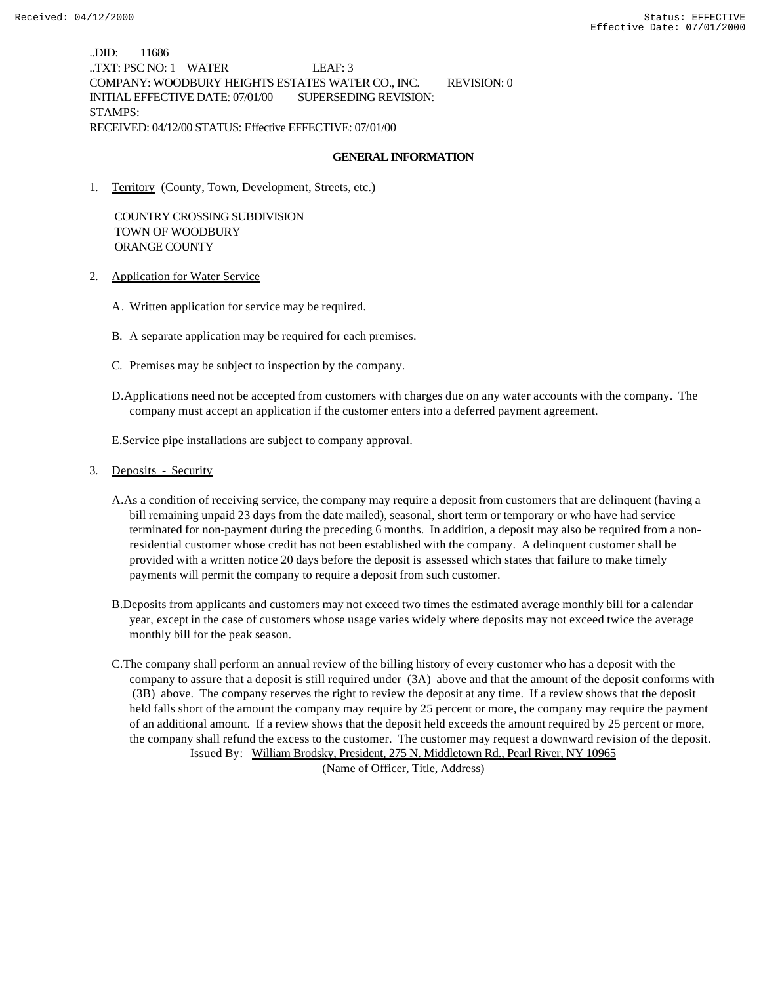..DID: 11686 ..TXT: PSC NO: 1 WATER LEAF: 3 COMPANY: WOODBURY HEIGHTS ESTATES WATER CO., INC. REVISION: 0 INITIAL EFFECTIVE DATE: 07/01/00 SUPERSEDING REVISION: STAMPS: RECEIVED: 04/12/00 STATUS: Effective EFFECTIVE: 07/01/00

### **GENERAL INFORMATION**

1. Territory (County, Town, Development, Streets, etc.)

 COUNTRY CROSSING SUBDIVISION TOWN OF WOODBURY ORANGE COUNTY

- 2. Application for Water Service
	- A. Written application for service may be required.
	- B. A separate application may be required for each premises.
	- C. Premises may be subject to inspection by the company.
	- D.Applications need not be accepted from customers with charges due on any water accounts with the company. The company must accept an application if the customer enters into a deferred payment agreement.

E.Service pipe installations are subject to company approval.

- 3. Deposits Security
	- A.As a condition of receiving service, the company may require a deposit from customers that are delinquent (having a bill remaining unpaid 23 days from the date mailed), seasonal, short term or temporary or who have had service terminated for non-payment during the preceding 6 months. In addition, a deposit may also be required from a nonresidential customer whose credit has not been established with the company. A delinquent customer shall be provided with a written notice 20 days before the deposit is assessed which states that failure to make timely payments will permit the company to require a deposit from such customer.
	- B.Deposits from applicants and customers may not exceed two times the estimated average monthly bill for a calendar year, except in the case of customers whose usage varies widely where deposits may not exceed twice the average monthly bill for the peak season.
	- C.The company shall perform an annual review of the billing history of every customer who has a deposit with the company to assure that a deposit is still required under (3A) above and that the amount of the deposit conforms with (3B) above. The company reserves the right to review the deposit at any time. If a review shows that the deposit held falls short of the amount the company may require by 25 percent or more, the company may require the payment of an additional amount. If a review shows that the deposit held exceeds the amount required by 25 percent or more, the company shall refund the excess to the customer. The customer may request a downward revision of the deposit. Issued By: William Brodsky, President, 275 N. Middletown Rd., Pearl River, NY 10965

(Name of Officer, Title, Address)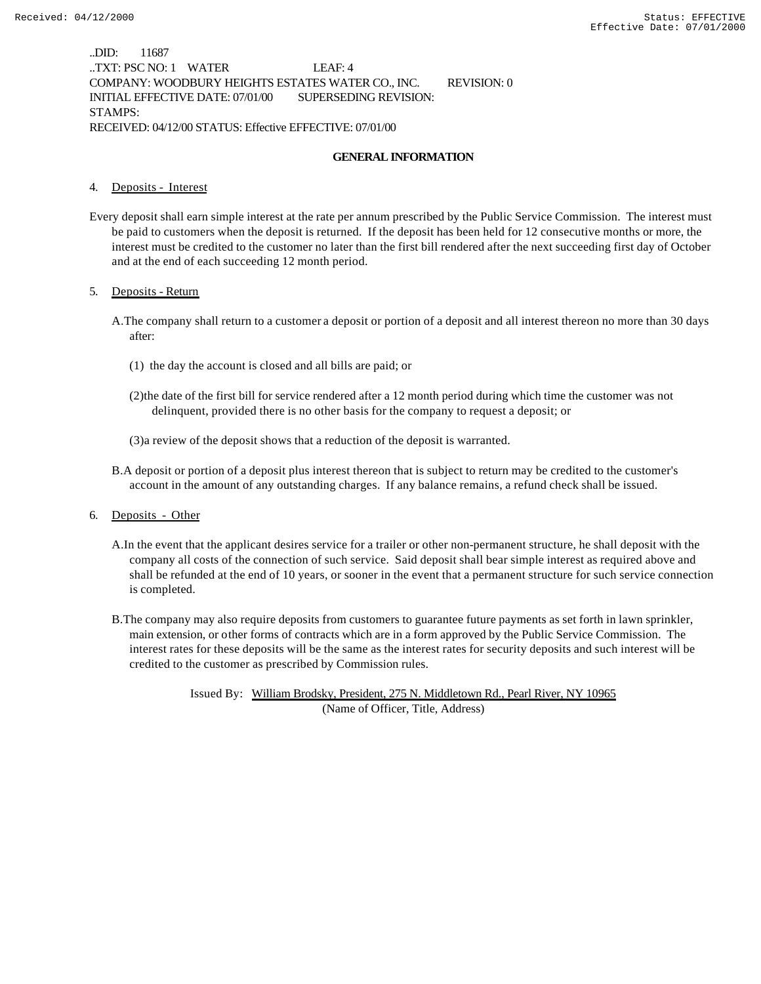..DID: 11687 ..TXT: PSC NO: 1 WATER LEAF: 4 COMPANY: WOODBURY HEIGHTS ESTATES WATER CO., INC. REVISION: 0 INITIAL EFFECTIVE DATE: 07/01/00 SUPERSEDING REVISION: STAMPS: RECEIVED: 04/12/00 STATUS: Effective EFFECTIVE: 07/01/00

## **GENERAL INFORMATION**

#### 4. Deposits - Interest

Every deposit shall earn simple interest at the rate per annum prescribed by the Public Service Commission. The interest must be paid to customers when the deposit is returned. If the deposit has been held for 12 consecutive months or more, the interest must be credited to the customer no later than the first bill rendered after the next succeeding first day of October and at the end of each succeeding 12 month period.

#### 5. Deposits - Return

- A.The company shall return to a customer a deposit or portion of a deposit and all interest thereon no more than 30 days after:
	- (1) the day the account is closed and all bills are paid; or
	- (2)the date of the first bill for service rendered after a 12 month period during which time the customer was not delinquent, provided there is no other basis for the company to request a deposit; or
	- (3)a review of the deposit shows that a reduction of the deposit is warranted.
- B.A deposit or portion of a deposit plus interest thereon that is subject to return may be credited to the customer's account in the amount of any outstanding charges. If any balance remains, a refund check shall be issued.
- 6. Deposits Other
	- A.In the event that the applicant desires service for a trailer or other non-permanent structure, he shall deposit with the company all costs of the connection of such service. Said deposit shall bear simple interest as required above and shall be refunded at the end of 10 years, or sooner in the event that a permanent structure for such service connection is completed.
	- B.The company may also require deposits from customers to guarantee future payments as set forth in lawn sprinkler, main extension, or other forms of contracts which are in a form approved by the Public Service Commission. The interest rates for these deposits will be the same as the interest rates for security deposits and such interest will be credited to the customer as prescribed by Commission rules.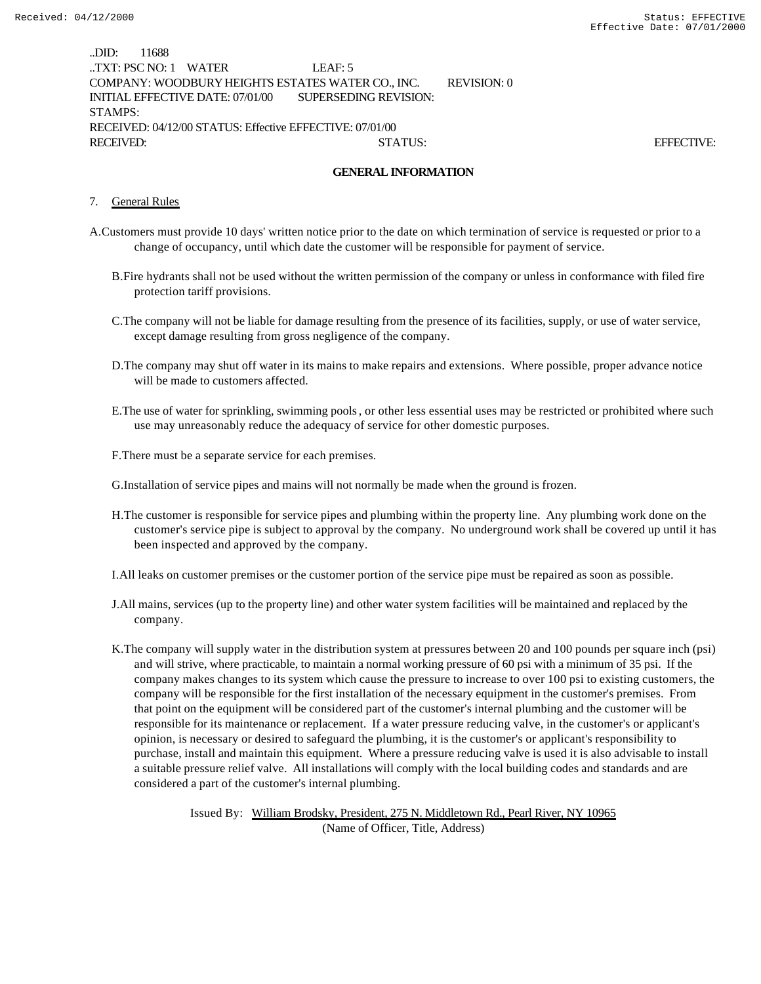| .DID:                                                    | 11688 |                                  |                                                   |             |                   |  |  |
|----------------------------------------------------------|-------|----------------------------------|---------------------------------------------------|-------------|-------------------|--|--|
|                                                          |       | TXT: PSC NO: 1 WATER             | LEAF: 5                                           |             |                   |  |  |
|                                                          |       |                                  | COMPANY: WOODBURY HEIGHTS ESTATES WATER CO., INC. | REVISION: 0 |                   |  |  |
|                                                          |       | INITIAL EFFECTIVE DATE: 07/01/00 | SUPERSEDING REVISION:                             |             |                   |  |  |
| STAMPS:                                                  |       |                                  |                                                   |             |                   |  |  |
| RECEIVED: 04/12/00 STATUS: Effective EFFECTIVE: 07/01/00 |       |                                  |                                                   |             |                   |  |  |
| RECEIVED:                                                |       |                                  | STATUS:                                           |             | <b>EFFECTIVE:</b> |  |  |

#### **GENERAL INFORMATION**

#### 7. General Rules

- A.Customers must provide 10 days' written notice prior to the date on which termination of service is requested or prior to a change of occupancy, until which date the customer will be responsible for payment of service.
	- B.Fire hydrants shall not be used without the written permission of the company or unless in conformance with filed fire protection tariff provisions.
	- C.The company will not be liable for damage resulting from the presence of its facilities, supply, or use of water service, except damage resulting from gross negligence of the company.
	- D.The company may shut off water in its mains to make repairs and extensions. Where possible, proper advance notice will be made to customers affected.
	- E.The use of water for sprinkling, swimming pools, or other less essential uses may be restricted or prohibited where such use may unreasonably reduce the adequacy of service for other domestic purposes.

F.There must be a separate service for each premises.

G.Installation of service pipes and mains will not normally be made when the ground is frozen.

H.The customer is responsible for service pipes and plumbing within the property line. Any plumbing work done on the customer's service pipe is subject to approval by the company. No underground work shall be covered up until it has been inspected and approved by the company.

I.All leaks on customer premises or the customer portion of the service pipe must be repaired as soon as possible.

- J.All mains, services (up to the property line) and other water system facilities will be maintained and replaced by the company.
- K.The company will supply water in the distribution system at pressures between 20 and 100 pounds per square inch (psi) and will strive, where practicable, to maintain a normal working pressure of 60 psi with a minimum of 35 psi. If the company makes changes to its system which cause the pressure to increase to over 100 psi to existing customers, the company will be responsible for the first installation of the necessary equipment in the customer's premises. From that point on the equipment will be considered part of the customer's internal plumbing and the customer will be responsible for its maintenance or replacement. If a water pressure reducing valve, in the customer's or applicant's opinion, is necessary or desired to safeguard the plumbing, it is the customer's or applicant's responsibility to purchase, install and maintain this equipment. Where a pressure reducing valve is used it is also advisable to install a suitable pressure relief valve. All installations will comply with the local building codes and standards and are considered a part of the customer's internal plumbing.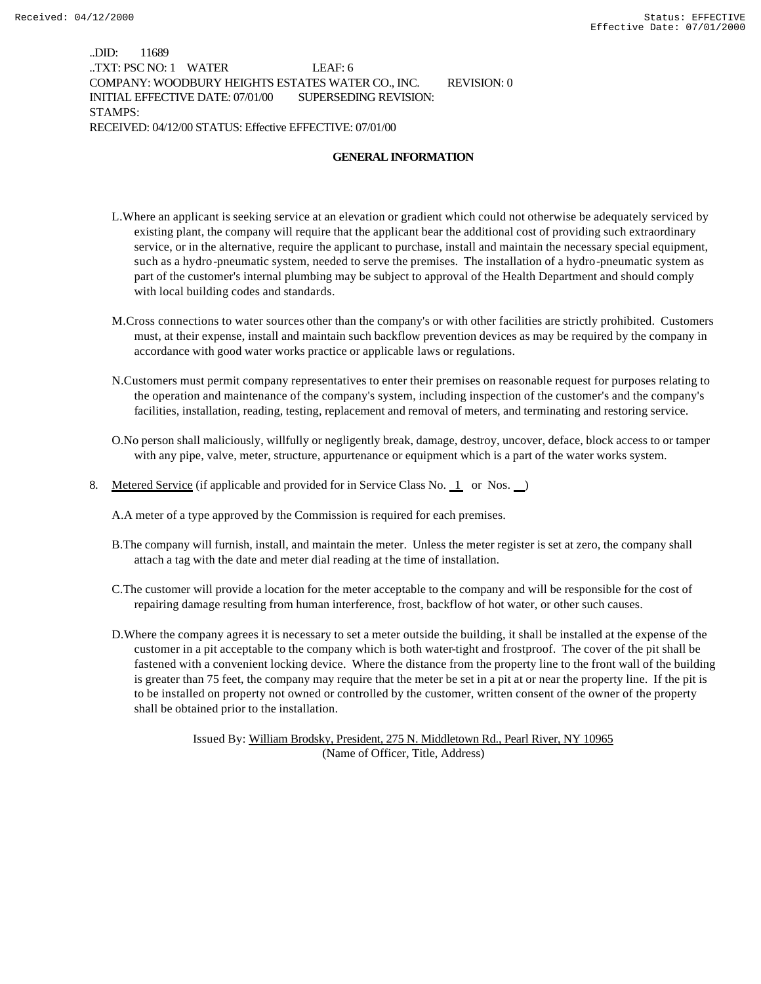..DID: 11689 ..TXT: PSC NO: 1 WATER LEAF: 6 COMPANY: WOODBURY HEIGHTS ESTATES WATER CO., INC. REVISION: 0 INITIAL EFFECTIVE DATE: 07/01/00 SUPERSEDING REVISION: STAMPS: RECEIVED: 04/12/00 STATUS: Effective EFFECTIVE: 07/01/00

## **GENERAL INFORMATION**

- L.Where an applicant is seeking service at an elevation or gradient which could not otherwise be adequately serviced by existing plant, the company will require that the applicant bear the additional cost of providing such extraordinary service, or in the alternative, require the applicant to purchase, install and maintain the necessary special equipment, such as a hydro-pneumatic system, needed to serve the premises. The installation of a hydro-pneumatic system as part of the customer's internal plumbing may be subject to approval of the Health Department and should comply with local building codes and standards.
- M.Cross connections to water sources other than the company's or with other facilities are strictly prohibited. Customers must, at their expense, install and maintain such backflow prevention devices as may be required by the company in accordance with good water works practice or applicable laws or regulations.
- N.Customers must permit company representatives to enter their premises on reasonable request for purposes relating to the operation and maintenance of the company's system, including inspection of the customer's and the company's facilities, installation, reading, testing, replacement and removal of meters, and terminating and restoring service.
- O.No person shall maliciously, willfully or negligently break, damage, destroy, uncover, deface, block access to or tamper with any pipe, valve, meter, structure, appurtenance or equipment which is a part of the water works system.
- 8. Metered Service (if applicable and provided for in Service Class No. 1 or Nos. )

A.A meter of a type approved by the Commission is required for each premises.

- B.The company will furnish, install, and maintain the meter. Unless the meter register is set at zero, the company shall attach a tag with the date and meter dial reading at the time of installation.
- C.The customer will provide a location for the meter acceptable to the company and will be responsible for the cost of repairing damage resulting from human interference, frost, backflow of hot water, or other such causes.
- D.Where the company agrees it is necessary to set a meter outside the building, it shall be installed at the expense of the customer in a pit acceptable to the company which is both water-tight and frostproof. The cover of the pit shall be fastened with a convenient locking device. Where the distance from the property line to the front wall of the building is greater than 75 feet, the company may require that the meter be set in a pit at or near the property line. If the pit is to be installed on property not owned or controlled by the customer, written consent of the owner of the property shall be obtained prior to the installation.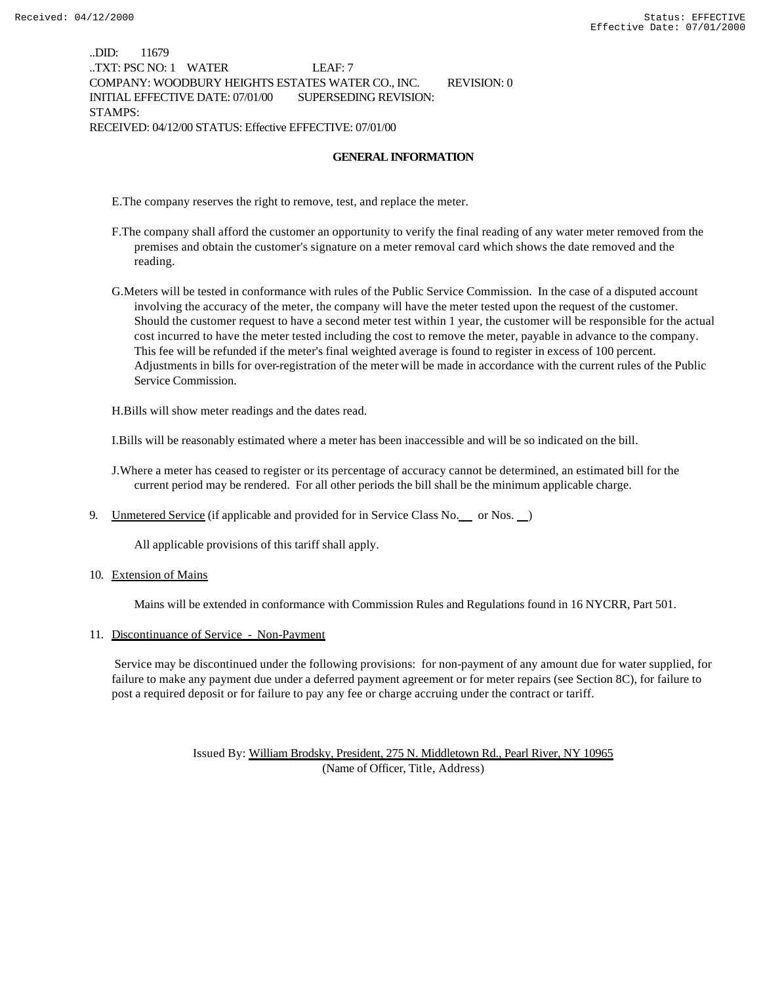..DID: 11679 ..TXT: PSC NO: 1 WATER LEAF: 7 COMPANY: WOODBURY HEIGHTS ESTATES WATER CO., INC. REVISION: 0 INITIAL EFFECTIVE DATE: 07/01/00 SUPERSEDING REVISION: STAMPS: RECEIVED: 04/12/00 STATUS: Effective EFFECTIVE: 07/01/00

## **GENERAL INFORMATION**

E.The company reserves the right to remove, test, and replace the meter.

- F.The company shall afford the customer an opportunity to verify the final reading of any water meter removed from the premises and obtain the customer's signature on a meter removal card which shows the date removed and the reading.
- G.Meters will be tested in conformance with rules of the Public Service Commission. In the case of a disputed account involving the accuracy of the meter, the company will have the meter tested upon the request of the customer. Should the customer request to have a second meter test within 1 year, the customer will be responsible for the actual cost incurred to have the meter tested including the cost to remove the meter, payable in advance to the company. This fee will be refunded if the meter's final weighted average is found to register in excess of 100 percent. Adjustments in bills for over-registration of the meter will be made in accordance with the current rules of the Public Service Commission.

H.Bills will show meter readings and the dates read.

I.Bills will be reasonably estimated where a meter has been inaccessible and will be so indicated on the bill.

J.Where a meter has ceased to register or its percentage of accuracy cannot be determined, an estimated bill for the current period may be rendered. For all other periods the bill shall be the minimum applicable charge.

9. Unmetered Service (if applicable and provided for in Service Class No. \_\_ or Nos. \_\_)

All applicable provisions of this tariff shall apply.

10. Extension of Mains

Mains will be extended in conformance with Commission Rules and Regulations found in 16 NYCRR, Part 501.

#### 11. Discontinuance of Service - Non-Payment

 Service may be discontinued under the following provisions: for non-payment of any amount due for water supplied, for failure to make any payment due under a deferred payment agreement or for meter repairs (see Section 8C), for failure to post a required deposit or for failure to pay any fee or charge accruing under the contract or tariff.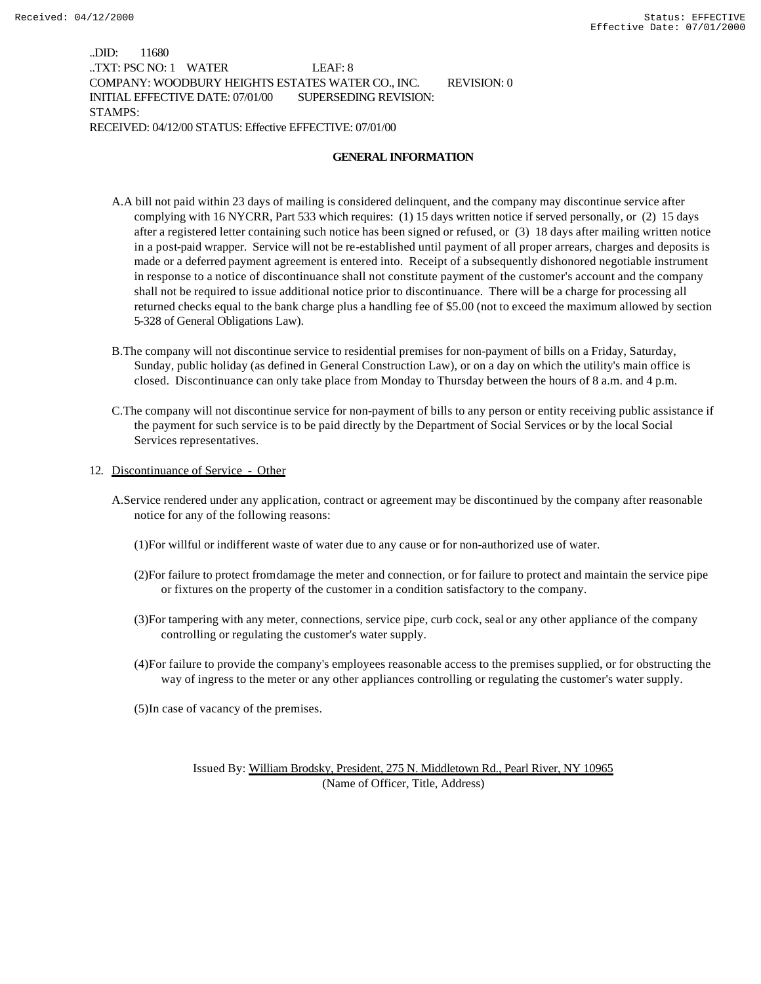..DID: 11680 ..TXT: PSC NO: 1 WATER LEAF: 8 COMPANY: WOODBURY HEIGHTS ESTATES WATER CO., INC. REVISION: 0 INITIAL EFFECTIVE DATE: 07/01/00 SUPERSEDING REVISION: STAMPS: RECEIVED: 04/12/00 STATUS: Effective EFFECTIVE: 07/01/00

## **GENERAL INFORMATION**

- A.A bill not paid within 23 days of mailing is considered delinquent, and the company may discontinue service after complying with 16 NYCRR, Part 533 which requires: (1) 15 days written notice if served personally, or (2) 15 days after a registered letter containing such notice has been signed or refused, or (3) 18 days after mailing written notice in a post-paid wrapper. Service will not be re-established until payment of all proper arrears, charges and deposits is made or a deferred payment agreement is entered into. Receipt of a subsequently dishonored negotiable instrument in response to a notice of discontinuance shall not constitute payment of the customer's account and the company shall not be required to issue additional notice prior to discontinuance. There will be a charge for processing all returned checks equal to the bank charge plus a handling fee of \$5.00 (not to exceed the maximum allowed by section 5-328 of General Obligations Law).
- B.The company will not discontinue service to residential premises for non-payment of bills on a Friday, Saturday, Sunday, public holiday (as defined in General Construction Law), or on a day on which the utility's main office is closed. Discontinuance can only take place from Monday to Thursday between the hours of 8 a.m. and 4 p.m.
- C.The company will not discontinue service for non-payment of bills to any person or entity receiving public assistance if the payment for such service is to be paid directly by the Department of Social Services or by the local Social Services representatives.
- 12. Discontinuance of Service Other
	- A.Service rendered under any application, contract or agreement may be discontinued by the company after reasonable notice for any of the following reasons:
		- (1)For willful or indifferent waste of water due to any cause or for non-authorized use of water.
		- (2)For failure to protect from damage the meter and connection, or for failure to protect and maintain the service pipe or fixtures on the property of the customer in a condition satisfactory to the company.
		- (3)For tampering with any meter, connections, service pipe, curb cock, seal or any other appliance of the company controlling or regulating the customer's water supply.
		- (4)For failure to provide the company's employees reasonable access to the premises supplied, or for obstructing the way of ingress to the meter or any other appliances controlling or regulating the customer's water supply.
		- (5)In case of vacancy of the premises.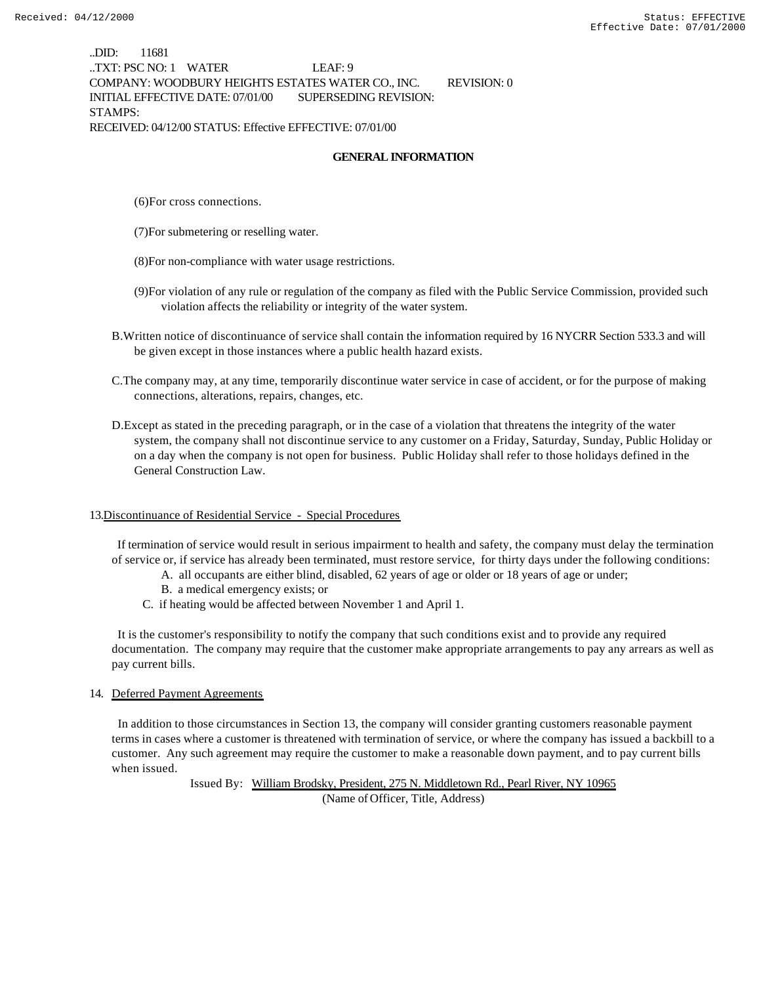..DID: 11681 ..TXT: PSC NO: 1 WATER LEAF: 9 COMPANY: WOODBURY HEIGHTS ESTATES WATER CO., INC. REVISION: 0 INITIAL EFFECTIVE DATE: 07/01/00 SUPERSEDING REVISION: STAMPS: RECEIVED: 04/12/00 STATUS: Effective EFFECTIVE: 07/01/00

## **GENERAL INFORMATION**

(6)For cross connections.

- (7)For submetering or reselling water.
- (8)For non-compliance with water usage restrictions.
- (9)For violation of any rule or regulation of the company as filed with the Public Service Commission, provided such violation affects the reliability or integrity of the water system.
- B.Written notice of discontinuance of service shall contain the information required by 16 NYCRR Section 533.3 and will be given except in those instances where a public health hazard exists.
- C.The company may, at any time, temporarily discontinue water service in case of accident, or for the purpose of making connections, alterations, repairs, changes, etc.
- D.Except as stated in the preceding paragraph, or in the case of a violation that threatens the integrity of the water system, the company shall not discontinue service to any customer on a Friday, Saturday, Sunday, Public Holiday or on a day when the company is not open for business. Public Holiday shall refer to those holidays defined in the General Construction Law.

#### 13.Discontinuance of Residential Service - Special Procedures

 If termination of service would result in serious impairment to health and safety, the company must delay the termination of service or, if service has already been terminated, must restore service, for thirty days under the following conditions:

- A. all occupants are either blind, disabled, 62 years of age or older or 18 years of age or under;
- B. a medical emergency exists; or
- C. if heating would be affected between November 1 and April 1.

 It is the customer's responsibility to notify the company that such conditions exist and to provide any required documentation. The company may require that the customer make appropriate arrangements to pay any arrears as well as pay current bills.

#### 14. Deferred Payment Agreements

 In addition to those circumstances in Section 13, the company will consider granting customers reasonable payment terms in cases where a customer is threatened with termination of service, or where the company has issued a backbill to a customer. Any such agreement may require the customer to make a reasonable down payment, and to pay current bills when issued.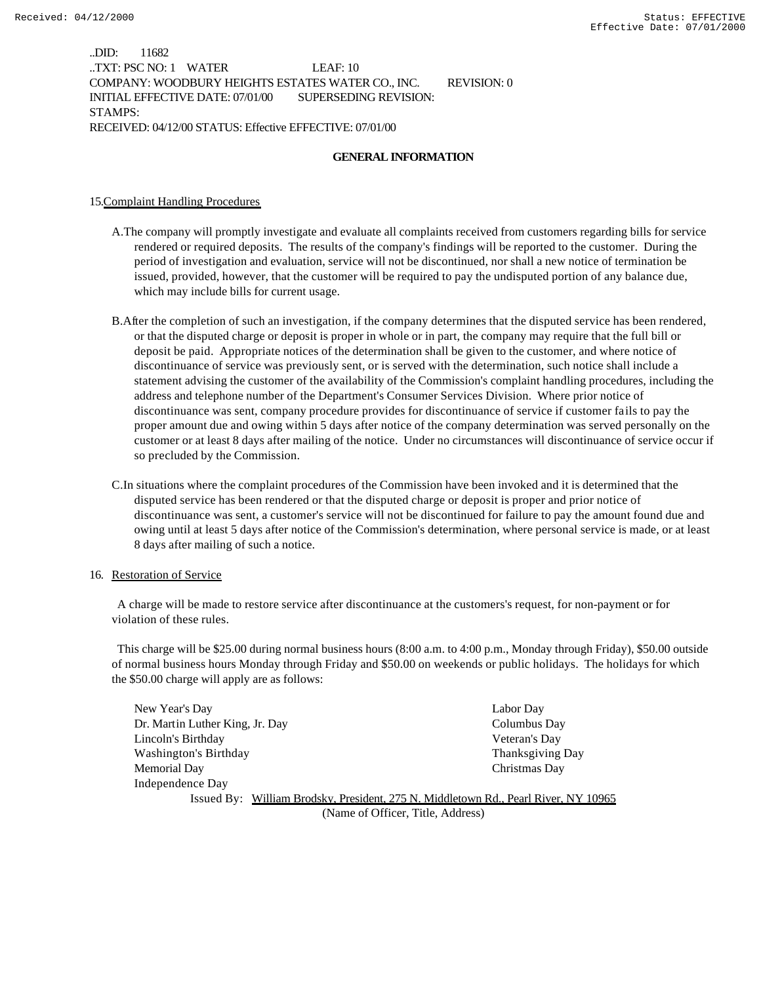..DID: 11682 ..TXT: PSC NO: 1 WATER LEAF: 10 COMPANY: WOODBURY HEIGHTS ESTATES WATER CO., INC. REVISION: 0 INITIAL EFFECTIVE DATE: 07/01/00 SUPERSEDING REVISION: STAMPS: RECEIVED: 04/12/00 STATUS: Effective EFFECTIVE: 07/01/00

## **GENERAL INFORMATION**

### 15.Complaint Handling Procedures

- A.The company will promptly investigate and evaluate all complaints received from customers regarding bills for service rendered or required deposits. The results of the company's findings will be reported to the customer. During the period of investigation and evaluation, service will not be discontinued, nor shall a new notice of termination be issued, provided, however, that the customer will be required to pay the undisputed portion of any balance due, which may include bills for current usage.
- B.After the completion of such an investigation, if the company determines that the disputed service has been rendered, or that the disputed charge or deposit is proper in whole or in part, the company may require that the full bill or deposit be paid. Appropriate notices of the determination shall be given to the customer, and where notice of discontinuance of service was previously sent, or is served with the determination, such notice shall include a statement advising the customer of the availability of the Commission's complaint handling procedures, including the address and telephone number of the Department's Consumer Services Division. Where prior notice of discontinuance was sent, company procedure provides for discontinuance of service if customer fails to pay the proper amount due and owing within 5 days after notice of the company determination was served personally on the customer or at least 8 days after mailing of the notice. Under no circumstances will discontinuance of service occur if so precluded by the Commission.
- C.In situations where the complaint procedures of the Commission have been invoked and it is determined that the disputed service has been rendered or that the disputed charge or deposit is proper and prior notice of discontinuance was sent, a customer's service will not be discontinued for failure to pay the amount found due and owing until at least 5 days after notice of the Commission's determination, where personal service is made, or at least 8 days after mailing of such a notice.

#### 16. Restoration of Service

 A charge will be made to restore service after discontinuance at the customers's request, for non-payment or for violation of these rules.

 This charge will be \$25.00 during normal business hours (8:00 a.m. to 4:00 p.m., Monday through Friday), \$50.00 outside of normal business hours Monday through Friday and \$50.00 on weekends or public holidays. The holidays for which the \$50.00 charge will apply are as follows:

| New Year's Day                  | Labor Day                                                                           |
|---------------------------------|-------------------------------------------------------------------------------------|
| Dr. Martin Luther King, Jr. Day | Columbus Day                                                                        |
| Lincoln's Birthday              | Veteran's Day                                                                       |
| Washington's Birthday           | Thanksgiving Day                                                                    |
| Memorial Day                    | Christmas Day                                                                       |
| Independence Day                |                                                                                     |
|                                 | Issued By: William Brodsky, President, 275 N. Middletown Rd., Pearl River, NY 10965 |
|                                 |                                                                                     |

(Name of Officer, Title, Address)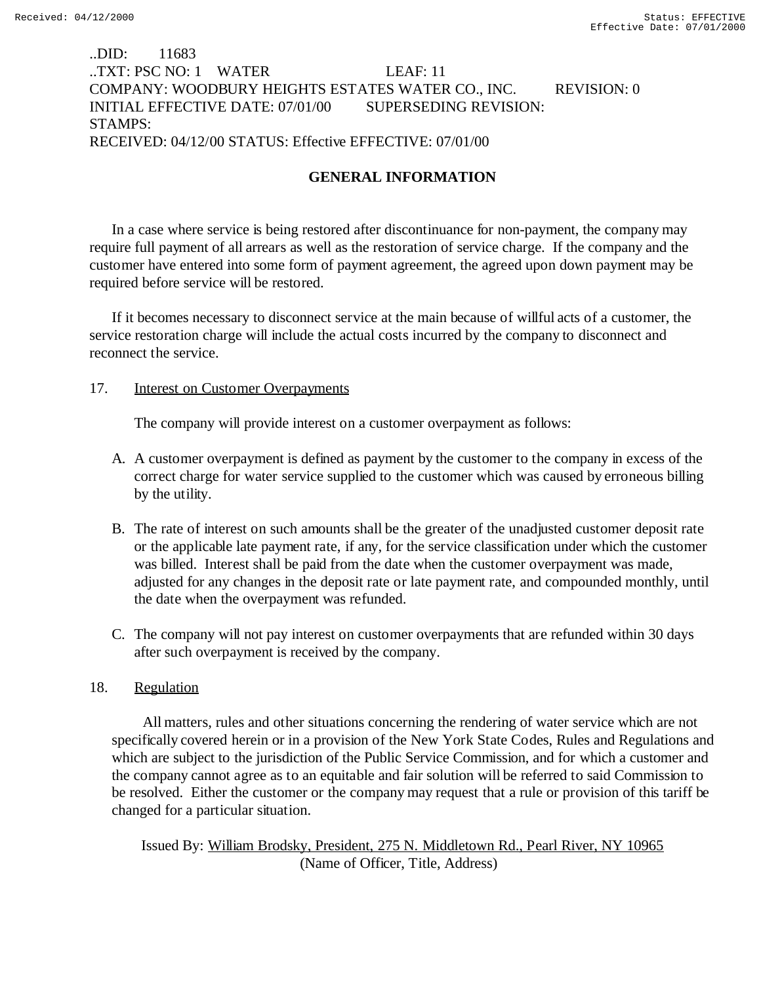# ..DID: 11683 ..TXT: PSC NO: 1 WATER LEAF: 11 COMPANY: WOODBURY HEIGHTS ESTATES WATER CO., INC. REVISION: 0 INITIAL EFFECTIVE DATE: 07/01/00 SUPERSEDING REVISION: STAMPS: RECEIVED: 04/12/00 STATUS: Effective EFFECTIVE: 07/01/00

# **GENERAL INFORMATION**

In a case where service is being restored after discontinuance for non-payment, the company may require full payment of all arrears as well as the restoration of service charge. If the company and the customer have entered into some form of payment agreement, the agreed upon down payment may be required before service will be restored.

If it becomes necessary to disconnect service at the main because of willful acts of a customer, the service restoration charge will include the actual costs incurred by the company to disconnect and reconnect the service.

## 17. Interest on Customer Overpayments

The company will provide interest on a customer overpayment as follows:

- A. A customer overpayment is defined as payment by the customer to the company in excess of the correct charge for water service supplied to the customer which was caused by erroneous billing by the utility.
- B. The rate of interest on such amounts shall be the greater of the unadjusted customer deposit rate or the applicable late payment rate, if any, for the service classification under which the customer was billed. Interest shall be paid from the date when the customer overpayment was made, adjusted for any changes in the deposit rate or late payment rate, and compounded monthly, until the date when the overpayment was refunded.
- C. The company will not pay interest on customer overpayments that are refunded within 30 days after such overpayment is received by the company.

# 18. Regulation

 All matters, rules and other situations concerning the rendering of water service which are not specifically covered herein or in a provision of the New York State Codes, Rules and Regulations and which are subject to the jurisdiction of the Public Service Commission, and for which a customer and the company cannot agree as to an equitable and fair solution will be referred to said Commission to be resolved. Either the customer or the company may request that a rule or provision of this tariff be changed for a particular situation.